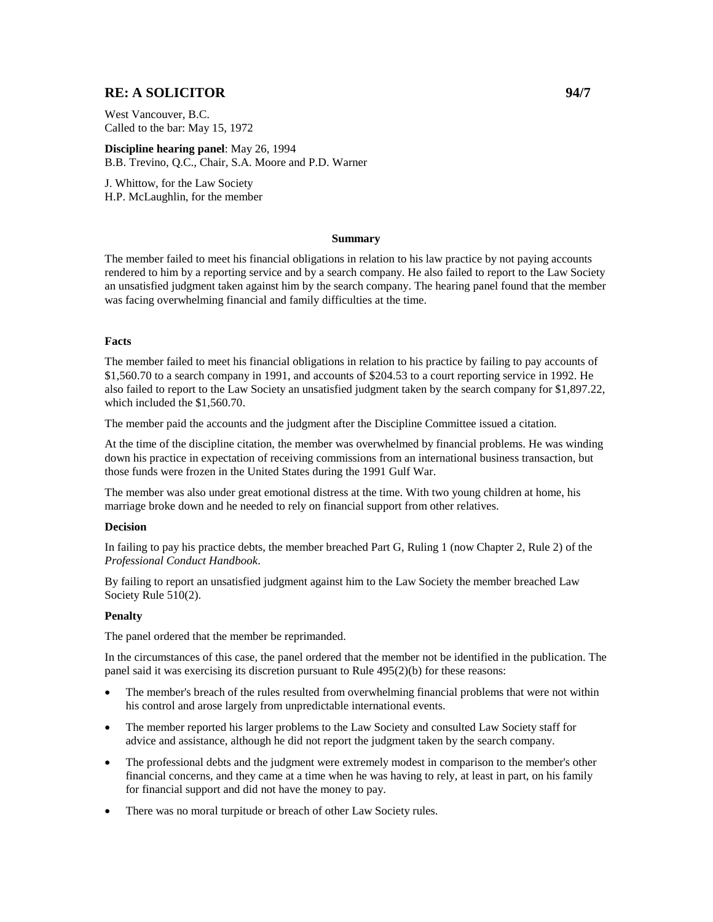# **RE: A SOLICITOR 94/7**

West Vancouver, B.C. Called to the bar: May 15, 1972

**Discipline hearing panel**: May 26, 1994 B.B. Trevino, Q.C., Chair, S.A. Moore and P.D. Warner

J. Whittow, for the Law Society H.P. McLaughlin, for the member

### **Summary**

The member failed to meet his financial obligations in relation to his law practice by not paying accounts rendered to him by a reporting service and by a search company. He also failed to report to the Law Society an unsatisfied judgment taken against him by the search company. The hearing panel found that the member was facing overwhelming financial and family difficulties at the time.

## **Facts**

The member failed to meet his financial obligations in relation to his practice by failing to pay accounts of \$1,560.70 to a search company in 1991, and accounts of \$204.53 to a court reporting service in 1992. He also failed to report to the Law Society an unsatisfied judgment taken by the search company for \$1,897.22, which included the \$1,560.70.

The member paid the accounts and the judgment after the Discipline Committee issued a citation.

At the time of the discipline citation, the member was overwhelmed by financial problems. He was winding down his practice in expectation of receiving commissions from an international business transaction, but those funds were frozen in the United States during the 1991 Gulf War.

The member was also under great emotional distress at the time. With two young children at home, his marriage broke down and he needed to rely on financial support from other relatives.

### **Decision**

In failing to pay his practice debts, the member breached Part G, Ruling 1 (now Chapter 2, Rule 2) of the *Professional Conduct Handbook*.

By failing to report an unsatisfied judgment against him to the Law Society the member breached Law Society Rule 510(2).

## **Penalty**

The panel ordered that the member be reprimanded.

In the circumstances of this case, the panel ordered that the member not be identified in the publication. The panel said it was exercising its discretion pursuant to Rule 495(2)(b) for these reasons:

- The member's breach of the rules resulted from overwhelming financial problems that were not within his control and arose largely from unpredictable international events.
- The member reported his larger problems to the Law Society and consulted Law Society staff for advice and assistance, although he did not report the judgment taken by the search company.
- The professional debts and the judgment were extremely modest in comparison to the member's other financial concerns, and they came at a time when he was having to rely, at least in part, on his family for financial support and did not have the money to pay.
- There was no moral turpitude or breach of other Law Society rules.